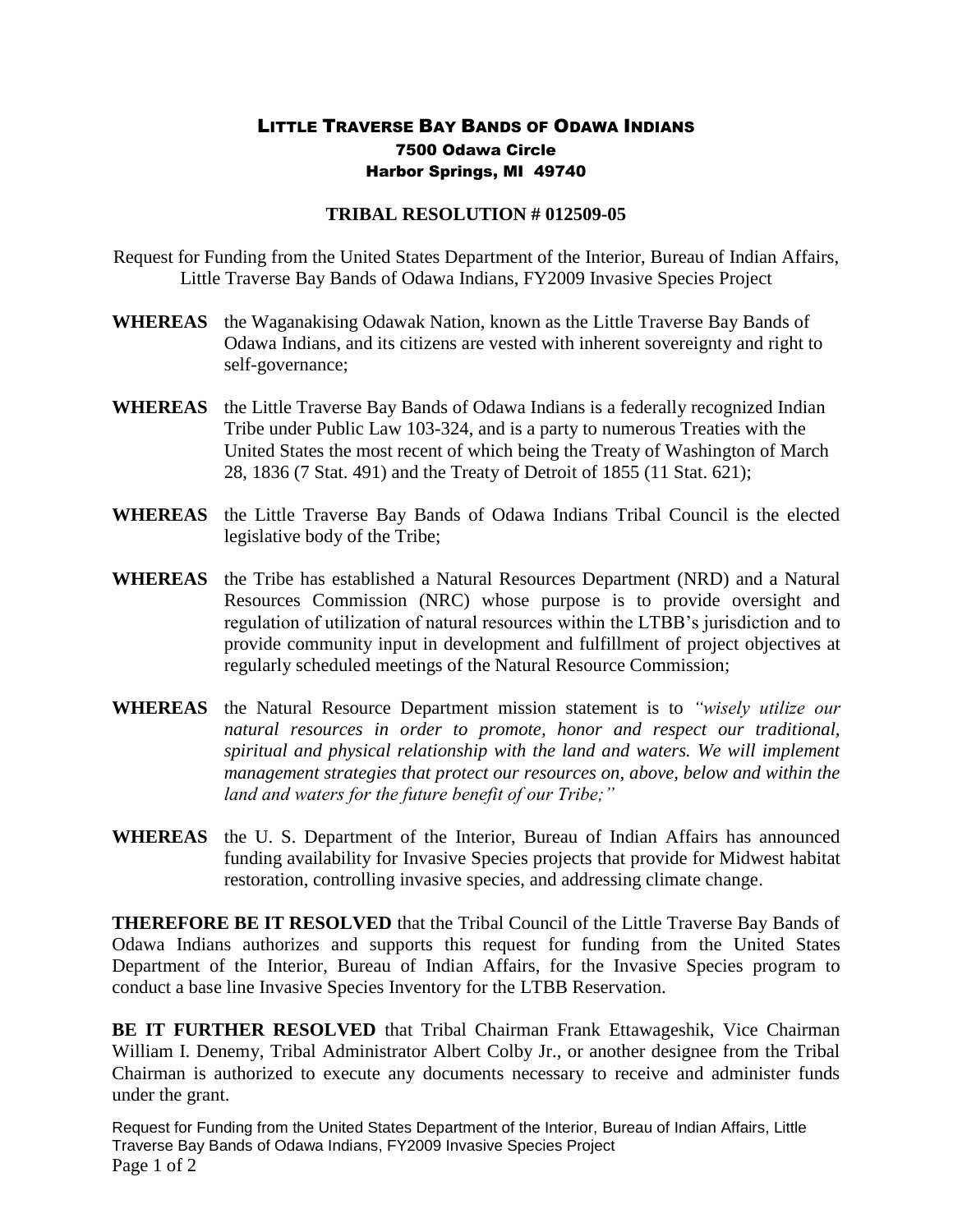## LITTLE TRAVERSE BAY BANDS OF ODAWA INDIANS 7500 Odawa Circle Harbor Springs, MI 49740

## **TRIBAL RESOLUTION # 012509-05**

Request for Funding from the United States Department of the Interior, Bureau of Indian Affairs, Little Traverse Bay Bands of Odawa Indians, FY2009 Invasive Species Project

- **WHEREAS** the Waganakising Odawak Nation, known as the Little Traverse Bay Bands of Odawa Indians, and its citizens are vested with inherent sovereignty and right to self-governance;
- **WHEREAS** the Little Traverse Bay Bands of Odawa Indians is a federally recognized Indian Tribe under Public Law 103-324, and is a party to numerous Treaties with the United States the most recent of which being the Treaty of Washington of March 28, 1836 (7 Stat. 491) and the Treaty of Detroit of 1855 (11 Stat. 621);
- **WHEREAS** the Little Traverse Bay Bands of Odawa Indians Tribal Council is the elected legislative body of the Tribe;
- **WHEREAS** the Tribe has established a Natural Resources Department (NRD) and a Natural Resources Commission (NRC) whose purpose is to provide oversight and regulation of utilization of natural resources within the LTBB's jurisdiction and to provide community input in development and fulfillment of project objectives at regularly scheduled meetings of the Natural Resource Commission;
- **WHEREAS** the Natural Resource Department mission statement is to *"wisely utilize our natural resources in order to promote, honor and respect our traditional, spiritual and physical relationship with the land and waters. We will implement management strategies that protect our resources on, above, below and within the land and waters for the future benefit of our Tribe;"*
- **WHEREAS** the U. S. Department of the Interior, Bureau of Indian Affairs has announced funding availability for Invasive Species projects that provide for Midwest habitat restoration, controlling invasive species, and addressing climate change.

**THEREFORE BE IT RESOLVED** that the Tribal Council of the Little Traverse Bay Bands of Odawa Indians authorizes and supports this request for funding from the United States Department of the Interior, Bureau of Indian Affairs, for the Invasive Species program to conduct a base line Invasive Species Inventory for the LTBB Reservation.

**BE IT FURTHER RESOLVED** that Tribal Chairman Frank Ettawageshik, Vice Chairman William I. Denemy, Tribal Administrator Albert Colby Jr., or another designee from the Tribal Chairman is authorized to execute any documents necessary to receive and administer funds under the grant.

Request for Funding from the United States Department of the Interior, Bureau of Indian Affairs, Little Traverse Bay Bands of Odawa Indians, FY2009 Invasive Species Project Page 1 of 2